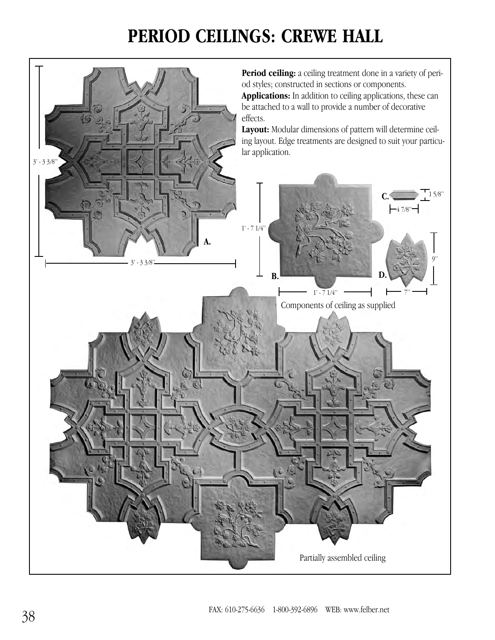## **PERIOD CEILINGS: CREWE HALL**